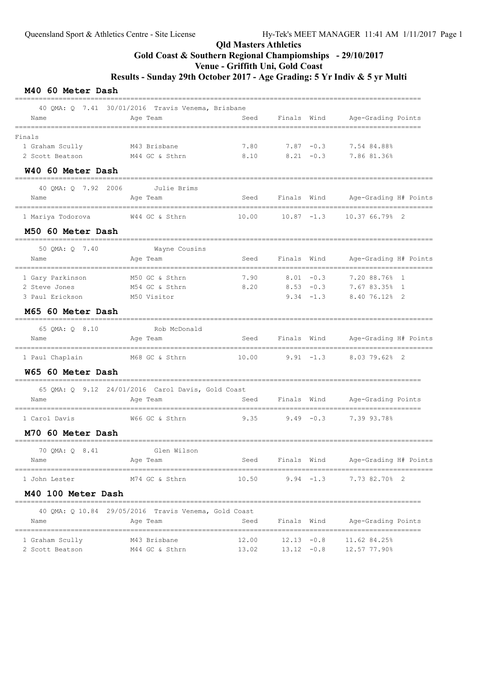# Qld Masters Athletics Gold Coast & Southern Regional Champiomships - 29/10/2017 Venue - Griffith Uni, Gold Coast Results - Sunday 29th October 2017 - Age Grading: 5 Yr Indiv & 5 yr Multi

### M40 60 Meter Dash

|                                        | 40 QMA: Q 7.41 30/01/2016 Travis Venema, Brisbane    |       |               |               |                                       |
|----------------------------------------|------------------------------------------------------|-------|---------------|---------------|---------------------------------------|
| Name                                   | Age Team                                             | Seed  | Finals Wind   |               | Age-Grading Points<br>==========      |
| Finals                                 |                                                      |       |               |               |                                       |
| 1 Graham Scully                        | M43 Brisbane                                         | 7.80  | $7.87 - 0.3$  |               | 7.54 84.88%                           |
| 2 Scott Beatson                        | M44 GC & Sthrn                                       | 8.10  |               | $8.21 - 0.3$  | 7.86 81.36%                           |
| W40 60 Meter Dash                      |                                                      |       |               |               |                                       |
| 40 OMA: 0 7.92 2006                    | Julie Brims                                          |       |               |               |                                       |
| Name                                   | Age Team                                             | Seed  |               | Finals Wind   | Age-Grading H# Points                 |
| 1 Mariya Todorova                      | W44 GC & Sthrn                                       | 10.00 | $10.87 - 1.3$ |               | 10.37 66.79% 2                        |
| M50 60 Meter Dash                      |                                                      |       |               |               |                                       |
| 50 QMA: Q 7.40                         | Wayne Cousins                                        |       |               |               |                                       |
| Name                                   | Age Team                                             | Seed  | Finals Wind   |               | Age-Grading H# Points                 |
| ------------------<br>1 Gary Parkinson | M50 GC & Sthrn                                       | 7.90  | $8.01 - 0.3$  |               | 7.20 88.76% 1                         |
| 2 Steve Jones                          | M54 GC & Sthrn                                       | 8.20  | $8.53 - 0.3$  |               | 7.67 83.35% 1                         |
| 3 Paul Erickson                        | M50 Visitor                                          |       |               | $9.34 -1.3$   | 8.40 76.12% 2                         |
| M65 60 Meter Dash                      |                                                      |       |               |               |                                       |
| 65 OMA: 0 8.10                         | Rob McDonald                                         |       |               |               |                                       |
| Name<br>==============                 | Age Team<br>------------                             | Seed  | Finals Wind   |               | Age-Grading H# Points                 |
| 1 Paul Chaplain                        | M68 GC & Sthrn                                       | 10.00 | $9.91 - 1.3$  |               | 8.03 79.62% 2                         |
| W65 60 Meter Dash                      |                                                      |       |               |               |                                       |
|                                        | 65 QMA: Q 9.12 24/01/2016 Carol Davis, Gold Coast    |       |               |               |                                       |
| Name                                   | Age Team                                             | Seed  | Finals        | Wind          | Age-Grading Points                    |
| 1 Carol Davis                          | W66 GC & Sthrn                                       | 9.35  | $9.49 - 0.3$  |               | 7.39 93.78%                           |
| M70 60 Meter Dash                      |                                                      |       |               |               |                                       |
| 70 QMA: Q 8.41                         | Glen Wilson                                          |       |               |               |                                       |
| Name                                   | Age Team                                             | Seed  | Finals Wind   |               | Age-Grading H# Points                 |
| 1 John Lester                          | M74 GC & Sthrn                                       |       |               |               | $10.50$ 9.94 -1.3 7.73 82.70% 2       |
| M40 100 Meter Dash                     |                                                      |       |               |               |                                       |
|                                        | 40 QMA: Q 10.84 29/05/2016 Travis Venema, Gold Coast |       |               |               |                                       |
| Name                                   | Age Team                                             | Seed  | Finals Wind   |               | Age-Grading Points                    |
| 1 Graham Scully                        | M43 Brisbane                                         | 12.00 |               | $12.13 - 0.8$ | 11.62 84.25%                          |
| 2 Scott Beatson                        | M44 GC & Sthrn                                       |       |               |               | 13.02   13.12   -0.8   12.57   77.90% |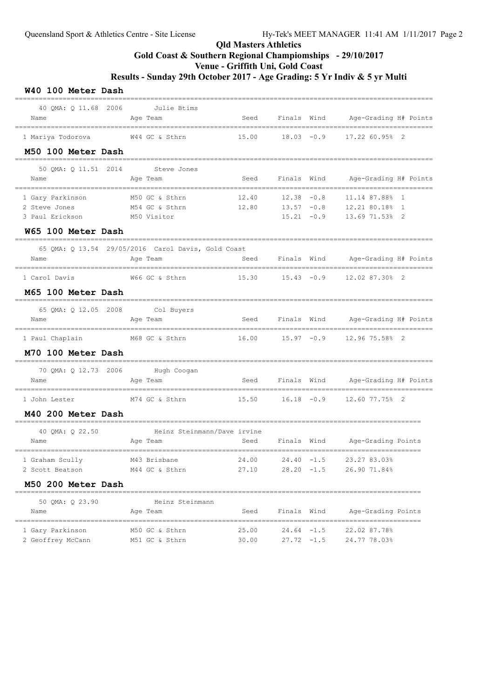# Qld Masters Athletics Gold Coast & Southern Regional Champiomships - 29/10/2017 Venue - Griffith Uni, Gold Coast Results - Sunday 29th October 2017 - Age Grading: 5 Yr Indiv & 5 yr Multi

#### W40 100 Meter Dash

| 40 OMA: 0 11.68 2006 Julie Btims<br>Name                                      | Age Team                                                           |                                |                               |               | Seed Finals Wind Age-Grading H# Points             |  |
|-------------------------------------------------------------------------------|--------------------------------------------------------------------|--------------------------------|-------------------------------|---------------|----------------------------------------------------|--|
| M50 100 Meter Dash                                                            | 1 Mariya Todorova 6 644 GC & Sthrn 15.00 18.03 -0.9 17.22 60.95% 2 | ============================== |                               |               | ===================                                |  |
| 50 OMA: 0 11.51 2014<br>Name                                                  | ----------<br>Steve Jones<br>Age Team                              | Seed                           |                               |               | Finals Wind Mage-Grading H# Points                 |  |
| 1 Gary Parkinson<br>2 Steve Jones<br>3 Paul Erickson<br>W65 100 Meter Dash    | M50 GC & Sthrn<br>M54 GC & Sthrn<br>M50 Visitor                    | 12.40<br>12.80                 | $12.38 - 0.8$<br>$13.57 -0.8$ | $15.21 - 0.9$ | 11.14 87.88% 1<br>12.21 80.18% 1<br>13.69 71.53% 2 |  |
| Name                                                                          | 65 QMA: Q 13.54 29/05/2016 Carol Davis, Gold Coast<br>Age Team     |                                |                               |               | Seed Finals Wind Age-Grading H# Points             |  |
| 1 Carol Davis<br>M65 100 Meter Dash                                           | W66 GC & Sthrn                                                     |                                |                               |               | 15.30  15.43  -0.9  12.02  87.30%  2               |  |
| 65 QMA: Q 12.05 2008 Col Buyers<br>Name<br>================================== | ===========<br>Age Team<br>____________________________________    | Seed                           |                               |               | Finals Wind Age-Grading H# Points                  |  |
| 1 Paul Chaplain M68 GC & Sthrn<br>M70 100 Meter Dash                          |                                                                    | 16.00                          | $15.97 - 0.9$                 |               | 12.96 75.58% 2                                     |  |
| 70 QMA: Q 12.73 2006 Hugh Coogan<br>Name                                      | Age Team                                                           | Seed                           |                               |               | Finals Wind Age-Grading H# Points                  |  |
| 1 John Lester<br>M40 200 Meter Dash                                           | M74 GC & Sthrn                                                     |                                |                               |               | 15.50   16.18   -0.9   12.60   77.75%   2          |  |
| ________________________________<br>40 QMA: Q 22.50<br>Name                   | Heinz Steinmann/Dave irvine<br>Age Team                            | Seed                           |                               |               | Finals Wind Age-Grading Points                     |  |
| 1 Graham Scully<br>2 Scott Beatson<br>M50 200 Meter Dash                      | M43 Brisbane<br>M44 GC & Sthrn                                     | 24.00<br>27.10                 | $24.40 -1.5$<br>$28.20 -1.5$  |               | 23.27 83.03%<br>26.90 71.84%                       |  |
| 50 OMA: 0 23.90<br>Name                                                       | Heinz Steinmann<br>Age Team                                        | Seed                           | Finals Wind                   |               | Age-Grading Points                                 |  |
| 1 Gary Parkinson<br>2 Geoffrey McCann                                         | M50 GC & Sthrn<br>M51 GC & Sthrn                                   | 25.00<br>30.00                 | $27.72 - 1.5$                 | $24.64 - 1.5$ | 22.02 87.78%<br>24.77 78.03%                       |  |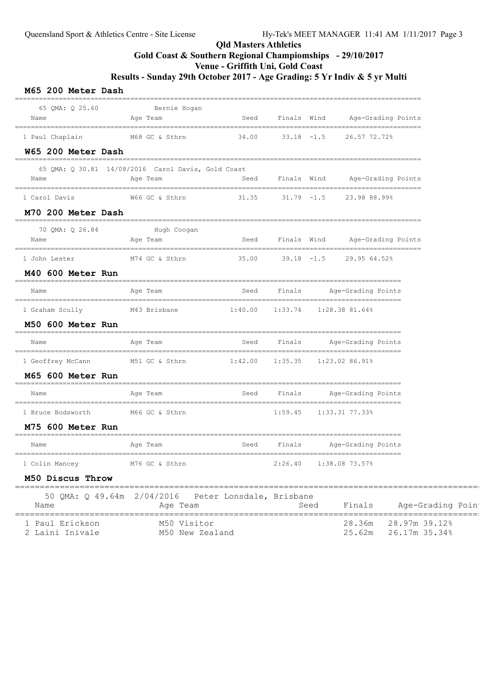# Qld Masters Athletics Gold Coast & Southern Regional Champiomships - 29/10/2017 Venue - Griffith Uni, Gold Coast

Results - Sunday 29th October 2017 - Age Grading: 5 Yr Indiv & 5 yr Multi

| 65 QMA: Q 25.60    | Bernie Hogan                                        |                                      |             |                                     |
|--------------------|-----------------------------------------------------|--------------------------------------|-------------|-------------------------------------|
| Name               | Age Team                                            | Seed                                 | Finals Wind | Age-Grading Points                  |
| 1 Paul Chaplain    | M68 GC & Sthrn                                      | 34.00                                |             | $33.18$ $-1.5$ 26.57 72.72%         |
| W65 200 Meter Dash |                                                     |                                      |             |                                     |
|                    | 65 QMA: Q 30.81 14/08/2016 Carol Davis, Gold Coast  |                                      |             |                                     |
| Name               | Age Team                                            |                                      |             | Seed Finals Wind Age-Grading Points |
| 1 Carol Davis      |                                                     |                                      |             |                                     |
| M70 200 Meter Dash |                                                     |                                      |             |                                     |
| 70 QMA: Q 26.84    | Hugh Coogan                                         |                                      |             |                                     |
| Name               | Age Team                                            | Seed                                 | Finals Wind | Age-Grading Points                  |
| 1 John Lester      | M74 GC & Sthrn                                      |                                      |             | $35.00$ $39.18$ $-1.5$ 29.95 64.52% |
| M40 600 Meter Run  |                                                     |                                      |             |                                     |
| Name               | Aqe Team                                            |                                      |             | Seed Finals Age-Grading Points      |
| 1 Graham Scully    | M43 Brisbane                                        | $1:40.00$ $1:33.74$ $1:28.38$ 81.64% |             |                                     |
| M50 600 Meter Run  |                                                     |                                      |             |                                     |
| Name               | Age Team                                            | Seed                                 |             | Finals Mge-Grading Points           |
| 1 Geoffrey McCann  | M51 GC & Sthrn 1:42.00 1:35.35 1:23.02 86.91%       |                                      |             |                                     |
| M65 600 Meter Run  |                                                     |                                      |             |                                     |
| Name               | Age Team                                            |                                      |             | Seed Finals Age-Grading Points      |
| 1 Bruce Bodsworth  | M66 GC & Sthrn                                      |                                      |             | 1:59.45 1:33.31 77.33%              |
| M75 600 Meter Run  |                                                     |                                      |             |                                     |
| Name               | Age Team                                            |                                      |             | Seed Finals Age-Grading Points      |
| 1 Colin Mancey     | M76 GC & Sthrn                                      |                                      | 2:26.40     | 1:38.08 73.57%                      |
| M50 Discus Throw   |                                                     |                                      |             |                                     |
|                    | 50 QMA: Q 49.64m 2/04/2016 Peter Lonsdale, Brisbane |                                      |             |                                     |

| Name            | Age Team        | Seed | Finals Age-Grading Poin |  |
|-----------------|-----------------|------|-------------------------|--|
| 1 Paul Erickson | M50 Visitor     |      | 28.36m 28.97m 39.12%    |  |
| 2 Laini Inivale | M50 New Zealand |      | 25.62m 26.17m 35.34%    |  |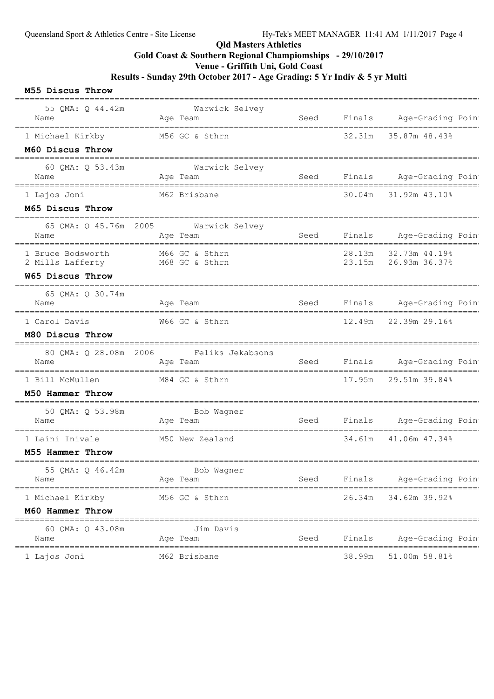### Qld Masters Athletics

Gold Coast & Southern Regional Champiomships - 29/10/2017

Venue - Griffith Uni, Gold Coast

Results - Sunday 29th October 2017 - Age Grading: 5 Yr Indiv & 5 yr Multi

#### M55 Discus Throw

| 55 QMA: Q 44.42m<br>Name                                  |                     | Warwick Selvey<br>Aqe Team                          | Seed        |        | Finals Age-Grading Poin                            |
|-----------------------------------------------------------|---------------------|-----------------------------------------------------|-------------|--------|----------------------------------------------------|
| 1 Michael Kirkby<br>M60 Discus Throw                      |                     | M56 GC & Sthrn                                      |             | 32.31m | 35.87m 48.43%                                      |
| 60 QMA: Q 53.43m<br>Name                                  |                     | Warwick Selvey<br>Age Team                          | Seed        |        | Finals Age-Grading Poin<br>======================= |
| 1 Lajos Joni<br>M65 Discus Throw                          |                     | M62 Brisbane                                        |             |        | 30.04m 31.92m 43.10%                               |
| Name                                                      |                     | 65 QMA: Q 45.76m 2005 Warwick Selvey<br>Age Team    | Seed        | Finals | Age-Grading Poin                                   |
| 1 Bruce Bodsworth<br>2 Mills Lafferty M68 GC & Sthrn      |                     | M66 GC & Sthrn                                      |             |        | 28.13m 32.73m 44.19%                               |
| W65 Discus Throw                                          |                     |                                                     |             |        |                                                    |
| 65 QMA: Q 30.74m<br>Name                                  |                     | Age Team                                            | <b>Seed</b> | Finals | Age-Grading Poin                                   |
| 1 Carol Davis<br>M80 Discus Throw                         |                     | W66 GC & Sthrn                                      |             | 12.49m | 22.39m 29.16%                                      |
| Name                                                      |                     | 80 QMA: Q 28.08m 2006 Feliks Jekabsons<br>Age Team  |             |        | Seed Finals Age-Grading Poin                       |
| 1 Bill McMullen<br>M50 Hammer Throw                       |                     | M84 GC & Sthrn                                      |             | 17.95m | 29.51m 39.84%                                      |
| 50 QMA: Q 53.98m<br>Name                                  | ------------------- | Bob Wagner<br>Age Team                              | Seed        | Finals | Age-Grading Poin                                   |
| 1 Laini Inivale<br>M55 Hammer Throw                       |                     | M50 New Zealand                                     |             | 34.61m | 41.06m 47.34%                                      |
| 55 QMA: Q 46.42m<br>Name                                  |                     | Bob Wagner<br>Age Team                              | Seed        | Finals | Age-Grading Poin                                   |
| =====================================<br>1 Michael Kirkby |                     | =================================<br>M56 GC & Sthrn |             | 26.34m | =========<br>==============<br>34.62m 39.92%       |
| M60 Hammer Throw                                          |                     |                                                     |             |        |                                                    |
| __________________________<br>60 QMA: Q 43.08m<br>Name    |                     | Jim Davis<br>Age Team                               | Seed        | Finals | Age-Grading Poin                                   |
| 1 Lajos Joni                                              |                     | M62 Brisbane                                        |             | 38.99m | 51.00m 58.81%                                      |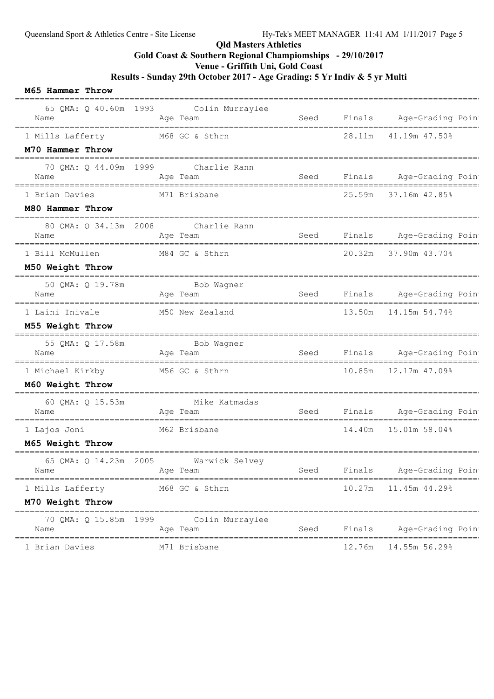### Qld Masters Athletics

Gold Coast & Southern Regional Champiomships - 29/10/2017

Venue - Griffith Uni, Gold Coast

Results - Sunday 29th October 2017 - Age Grading: 5 Yr Indiv & 5 yr Multi

#### M65 Hammer Throw

| Name                                                  |            | 65 QMA: Q 40.60m 1993 Colin Murraylee<br>Age Team | Seed |        | Finals Age-Grading Poin         |
|-------------------------------------------------------|------------|---------------------------------------------------|------|--------|---------------------------------|
| 1 Mills Lafferty                                      |            | M68 GC & Sthrn                                    |      | 28.11m | ==============<br>41.19m 47.50% |
| M70 Hammer Throw                                      |            |                                                   |      |        |                                 |
| 70 QMA: Q 44.09m 1999 Charlie Rann                    |            |                                                   |      |        |                                 |
| Name                                                  |            | Age Team                                          |      |        | Seed Finals Age-Grading Poin    |
| 1 Brian Davies                                        |            | M71 Brisbane                                      |      | 25.59m | 37.16m 42.85%                   |
| M80 Hammer Throw                                      |            |                                                   |      |        |                                 |
| 80 QMA: Q 34.13m 2008 Charlie Rann<br>Name            |            | Age Team                                          | Seed |        | Finals Age-Grading Poin         |
| 1 Bill McMullen M84 GC & Sthrn                        |            |                                                   |      |        | 20.32m 37.90m 43.70%            |
| M50 Weight Throw                                      | ---------- |                                                   |      |        |                                 |
| 50 QMA: Q 19.78m<br>Name                              |            | Bob Wagner<br>Age Team                            | Seed | Finals | Age-Grading Poin                |
| 1 Laini Inivale                                       |            | M50 New Zealand                                   |      |        | 13.50m  14.15m  54.74%          |
| M55 Weight Throw                                      |            |                                                   |      |        |                                 |
| 55 QMA: Q 17.58m<br>Name                              |            | Bob Wagner<br>Age Team                            | Seed | Finals | Age-Grading Poin                |
| 1 Michael Kirkby                                      |            | M56 GC & Sthrn                                    |      | 10.85m | 12.17m 47.09%                   |
| M60 Weight Throw<br>--------------------------------- |            |                                                   |      |        |                                 |
| 60 QMA: Q 15.53m<br>Name                              |            | Mike Katmadas<br>Age Team                         | Seed | Finals | Age-Grading Poin                |
| 1 Lajos Joni                                          |            | M62 Brisbane                                      |      | 14.40m | 15.01m 58.04%                   |
| M65 Weight Throw                                      |            |                                                   |      |        |                                 |
| 65 QMA: Q 14.23m 2005<br>Name                         |            | Warwick Selvey<br>Age Team                        | Seed | Finals | Age-Grading Poin                |
| 1 Mills Lafferty                                      |            | M68 GC & Sthrn                                    |      | 10.27m | 11.45m 44.29%                   |
| M70 Weight Throw                                      |            |                                                   |      |        |                                 |
| 70 QMA: Q 15.85m 1999<br>Name                         |            | Colin Murraylee<br>Age Team                       | Seed | Finals | Age-Grading Poin                |
| 1 Brian Davies                                        |            | M71 Brisbane                                      |      | 12.76m | 14.55m 56.29%                   |